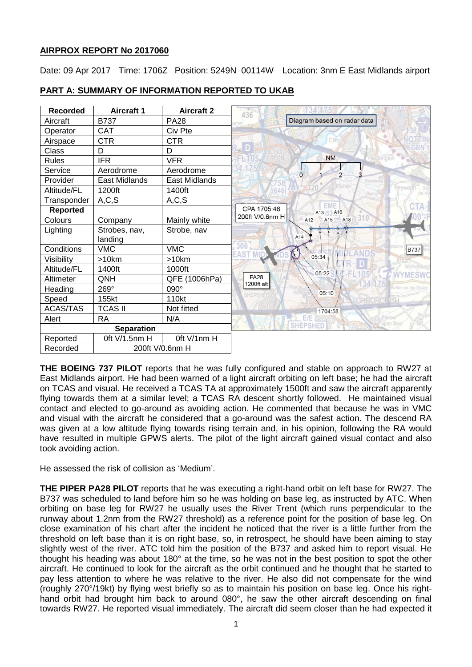### **AIRPROX REPORT No 2017060**

Date: 09 Apr 2017 Time: 1706Z Position: 5249N 00114W Location: 3nm E East Midlands airport



## **PART A: SUMMARY OF INFORMATION REPORTED TO UKAB**

**THE BOEING 737 PILOT** reports that he was fully configured and stable on approach to RW27 at East Midlands airport. He had been warned of a light aircraft orbiting on left base; he had the aircraft on TCAS and visual. He received a TCAS TA at approximately 1500ft and saw the aircraft apparently flying towards them at a similar level; a TCAS RA descent shortly followed. He maintained visual contact and elected to go-around as avoiding action. He commented that because he was in VMC and visual with the aircraft he considered that a go-around was the safest action. The descend RA was given at a low altitude flying towards rising terrain and, in his opinion, following the RA would have resulted in multiple GPWS alerts. The pilot of the light aircraft gained visual contact and also took avoiding action.

He assessed the risk of collision as 'Medium'.

**THE PIPER PA28 PILOT** reports that he was executing a right-hand orbit on left base for RW27. The B737 was scheduled to land before him so he was holding on base leg, as instructed by ATC. When orbiting on base leg for RW27 he usually uses the River Trent (which runs perpendicular to the runway about 1.2nm from the RW27 threshold) as a reference point for the position of base leg. On close examination of his chart after the incident he noticed that the river is a little further from the threshold on left base than it is on right base, so, in retrospect, he should have been aiming to stay slightly west of the river. ATC told him the position of the B737 and asked him to report visual. He thought his heading was about 180° at the time, so he was not in the best position to spot the other aircraft. He continued to look for the aircraft as the orbit continued and he thought that he started to pay less attention to where he was relative to the river. He also did not compensate for the wind (roughly 270°/19kt) by flying west briefly so as to maintain his position on base leg. Once his righthand orbit had brought him back to around 080°, he saw the other aircraft descending on final towards RW27. He reported visual immediately. The aircraft did seem closer than he had expected it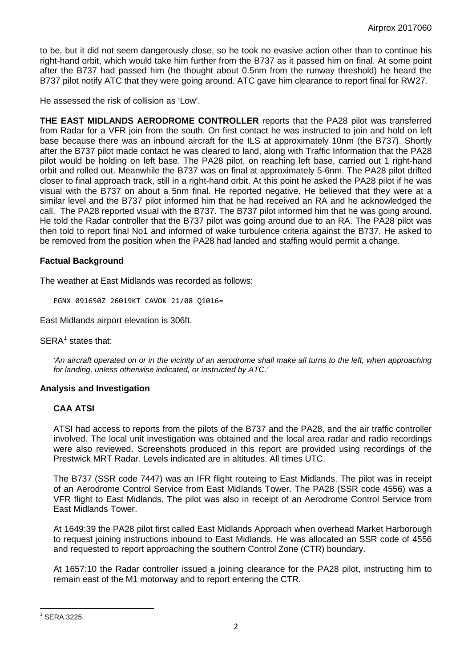to be, but it did not seem dangerously close, so he took no evasive action other than to continue his right-hand orbit, which would take him further from the B737 as it passed him on final. At some point after the B737 had passed him (he thought about 0.5nm from the runway threshold) he heard the B737 pilot notify ATC that they were going around. ATC gave him clearance to report final for RW27.

He assessed the risk of collision as 'Low'.

**THE EAST MIDLANDS AERODROME CONTROLLER** reports that the PA28 pilot was transferred from Radar for a VFR join from the south. On first contact he was instructed to join and hold on left base because there was an inbound aircraft for the ILS at approximately 10nm (the B737). Shortly after the B737 pilot made contact he was cleared to land, along with Traffic Information that the PA28 pilot would be holding on left base. The PA28 pilot, on reaching left base, carried out 1 right-hand orbit and rolled out. Meanwhile the B737 was on final at approximately 5-6nm. The PA28 pilot drifted closer to final approach track, still in a right-hand orbit. At this point he asked the PA28 pilot if he was visual with the B737 on about a 5nm final. He reported negative. He believed that they were at a similar level and the B737 pilot informed him that he had received an RA and he acknowledged the call. The PA28 reported visual with the B737. The B737 pilot informed him that he was going around. He told the Radar controller that the B737 pilot was going around due to an RA. The PA28 pilot was then told to report final No1 and informed of wake turbulence criteria against the B737. He asked to be removed from the position when the PA28 had landed and staffing would permit a change.

## **Factual Background**

The weather at East Midlands was recorded as follows:

EGNX 091650Z 26019KT CAVOK 21/08 Q1016=

East Midlands airport elevation is 306ft.

SERA<sup>[1](#page-1-0)</sup> states that:

*'An aircraft operated on or in the vicinity of an aerodrome shall make all turns to the left, when approaching for landing, unless otherwise indicated, or instructed by ATC.'*

# **Analysis and Investigation**

# **CAA ATSI**

ATSI had access to reports from the pilots of the B737 and the PA28, and the air traffic controller involved. The local unit investigation was obtained and the local area radar and radio recordings were also reviewed. Screenshots produced in this report are provided using recordings of the Prestwick MRT Radar. Levels indicated are in altitudes. All times UTC.

The B737 (SSR code 7447) was an IFR flight routeing to East Midlands. The pilot was in receipt of an Aerodrome Control Service from East Midlands Tower. The PA28 (SSR code 4556) was a VFR flight to East Midlands. The pilot was also in receipt of an Aerodrome Control Service from East Midlands Tower.

At 1649:39 the PA28 pilot first called East Midlands Approach when overhead Market Harborough to request joining instructions inbound to East Midlands. He was allocated an SSR code of 4556 and requested to report approaching the southern Control Zone (CTR) boundary.

At 1657:10 the Radar controller issued a joining clearance for the PA28 pilot, instructing him to remain east of the M1 motorway and to report entering the CTR.

<span id="page-1-0"></span> $<sup>1</sup>$  SFRA 3225.</sup>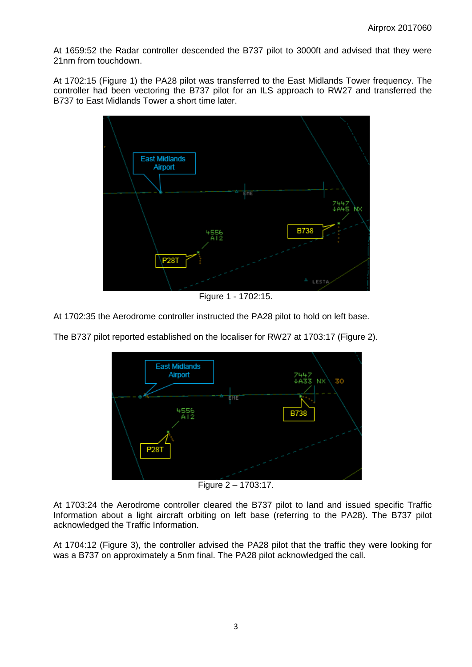At 1659:52 the Radar controller descended the B737 pilot to 3000ft and advised that they were 21nm from touchdown.

At 1702:15 (Figure 1) the PA28 pilot was transferred to the East Midlands Tower frequency. The controller had been vectoring the B737 pilot for an ILS approach to RW27 and transferred the B737 to East Midlands Tower a short time later.



Figure 1 - 1702:15.

At 1702:35 the Aerodrome controller instructed the PA28 pilot to hold on left base.



The B737 pilot reported established on the localiser for RW27 at 1703:17 (Figure 2).

Figure 2 – 1703:17.

At 1703:24 the Aerodrome controller cleared the B737 pilot to land and issued specific Traffic Information about a light aircraft orbiting on left base (referring to the PA28). The B737 pilot acknowledged the Traffic Information.

At 1704:12 (Figure 3), the controller advised the PA28 pilot that the traffic they were looking for was a B737 on approximately a 5nm final. The PA28 pilot acknowledged the call.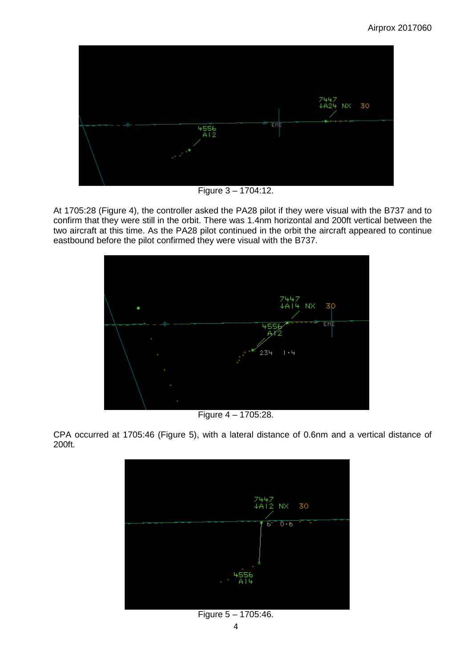

Figure 3 – 1704:12.

At 1705:28 (Figure 4), the controller asked the PA28 pilot if they were visual with the B737 and to confirm that they were still in the orbit. There was 1.4nm horizontal and 200ft vertical between the two aircraft at this time. As the PA28 pilot continued in the orbit the aircraft appeared to continue eastbound before the pilot confirmed they were visual with the B737.



Figure 4 – 1705:28.

CPA occurred at 1705:46 (Figure 5), with a lateral distance of 0.6nm and a vertical distance of 200ft.



Figure 5 – 1705:46.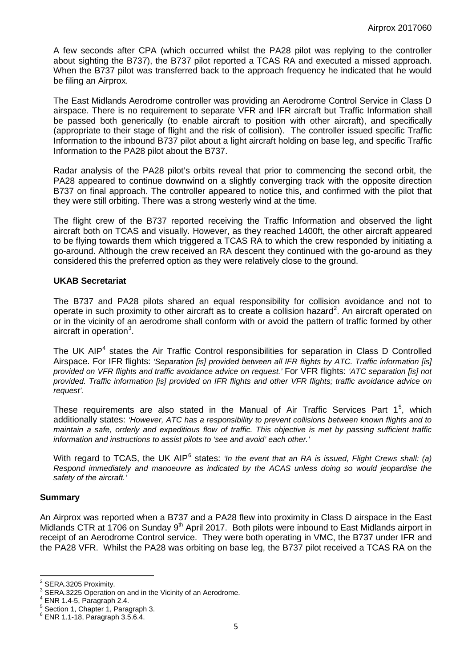A few seconds after CPA (which occurred whilst the PA28 pilot was replying to the controller about sighting the B737), the B737 pilot reported a TCAS RA and executed a missed approach. When the B737 pilot was transferred back to the approach frequency he indicated that he would be filing an Airprox.

The East Midlands Aerodrome controller was providing an Aerodrome Control Service in Class D airspace. There is no requirement to separate VFR and IFR aircraft but Traffic Information shall be passed both generically (to enable aircraft to position with other aircraft), and specifically (appropriate to their stage of flight and the risk of collision). The controller issued specific Traffic Information to the inbound B737 pilot about a light aircraft holding on base leg, and specific Traffic Information to the PA28 pilot about the B737.

Radar analysis of the PA28 pilot's orbits reveal that prior to commencing the second orbit, the PA28 appeared to continue downwind on a slightly converging track with the opposite direction B737 on final approach. The controller appeared to notice this, and confirmed with the pilot that they were still orbiting. There was a strong westerly wind at the time.

The flight crew of the B737 reported receiving the Traffic Information and observed the light aircraft both on TCAS and visually. However, as they reached 1400ft, the other aircraft appeared to be flying towards them which triggered a TCAS RA to which the crew responded by initiating a go-around. Although the crew received an RA descent they continued with the go-around as they considered this the preferred option as they were relatively close to the ground.

#### **UKAB Secretariat**

The B737 and PA28 pilots shared an equal responsibility for collision avoidance and not to operate in such proximity to other aircraft as to create a collision hazard<sup>[2](#page-4-0)</sup>. An aircraft operated on or in the vicinity of an aerodrome shall conform with or avoid the pattern of traffic formed by other aircraft in operation $3$ .

The UK AIP<sup>[4](#page-4-2)</sup> states the Air Traffic Control responsibilities for separation in Class D Controlled Airspace. For IFR flights: *'Separation [is] provided between all IFR flights by ATC. Traffic information [is] provided on VFR flights and traffic avoidance advice on request.'* For VFR flights: *'ATC separation [is] not provided. Traffic information [is] provided on IFR flights and other VFR flights; traffic avoidance advice on request'.*

These requirements are also stated in the Manual of Air Traffic Services Part  $1<sup>5</sup>$  $1<sup>5</sup>$  $1<sup>5</sup>$ , which additionally states: *'However, ATC has a responsibility to prevent collisions between known flights and to maintain a safe, orderly and expeditious flow of traffic. This objective is met by passing sufficient traffic information and instructions to assist pilots to 'see and avoid' each other.'*

With regard to TCAS, the UK AIP<sup>[6](#page-4-4)</sup> states: *'In the event that an RA is issued, Flight Crews shall: (a) Respond immediately and manoeuvre as indicated by the ACAS unless doing so would jeopardise the safety of the aircraft.'*

#### **Summary**

An Airprox was reported when a B737 and a PA28 flew into proximity in Class D airspace in the East Midlands CTR at 1706 on Sunday 9<sup>th</sup> April 2017. Both pilots were inbound to East Midlands airport in receipt of an Aerodrome Control service. They were both operating in VMC, the B737 under IFR and the PA28 VFR. Whilst the PA28 was orbiting on base leg, the B737 pilot received a TCAS RA on the

SERA.3205 Proximity.

<span id="page-4-1"></span><span id="page-4-0"></span><sup>&</sup>lt;sup>3</sup> SERA.3225 Operation on and in the Vicinity of an Aerodrome.<br>  $^4$  ENR 1.4-5, Paragraph 2.4.<br>  $^5$  Section 1, Chapter 1, Paragraph 3.<br>  $^6$  ENR 1.1-18, Paragraph 3.5.6.4.

<span id="page-4-2"></span>

<span id="page-4-3"></span>

<span id="page-4-4"></span>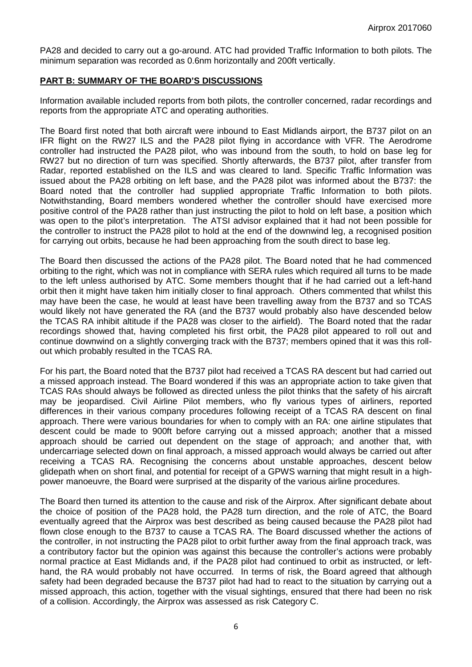PA28 and decided to carry out a go-around. ATC had provided Traffic Information to both pilots. The minimum separation was recorded as 0.6nm horizontally and 200ft vertically.

### **PART B: SUMMARY OF THE BOARD'S DISCUSSIONS**

Information available included reports from both pilots, the controller concerned, radar recordings and reports from the appropriate ATC and operating authorities.

The Board first noted that both aircraft were inbound to East Midlands airport, the B737 pilot on an IFR flight on the RW27 ILS and the PA28 pilot flying in accordance with VFR. The Aerodrome controller had instructed the PA28 pilot, who was inbound from the south, to hold on base leg for RW27 but no direction of turn was specified. Shortly afterwards, the B737 pilot, after transfer from Radar, reported established on the ILS and was cleared to land. Specific Traffic Information was issued about the PA28 orbiting on left base, and the PA28 pilot was informed about the B737: the Board noted that the controller had supplied appropriate Traffic Information to both pilots. Notwithstanding, Board members wondered whether the controller should have exercised more positive control of the PA28 rather than just instructing the pilot to hold on left base, a position which was open to the pilot's interpretation. The ATSI advisor explained that it had not been possible for the controller to instruct the PA28 pilot to hold at the end of the downwind leg, a recognised position for carrying out orbits, because he had been approaching from the south direct to base leg.

The Board then discussed the actions of the PA28 pilot. The Board noted that he had commenced orbiting to the right, which was not in compliance with SERA rules which required all turns to be made to the left unless authorised by ATC. Some members thought that if he had carried out a left-hand orbit then it might have taken him initially closer to final approach. Others commented that whilst this may have been the case, he would at least have been travelling away from the B737 and so TCAS would likely not have generated the RA (and the B737 would probably also have descended below the TCAS RA inhibit altitude if the PA28 was closer to the airfield). The Board noted that the radar recordings showed that, having completed his first orbit, the PA28 pilot appeared to roll out and continue downwind on a slightly converging track with the B737; members opined that it was this rollout which probably resulted in the TCAS RA.

For his part, the Board noted that the B737 pilot had received a TCAS RA descent but had carried out a missed approach instead. The Board wondered if this was an appropriate action to take given that TCAS RAs should always be followed as directed unless the pilot thinks that the safety of his aircraft may be jeopardised. Civil Airline Pilot members, who fly various types of airliners, reported differences in their various company procedures following receipt of a TCAS RA descent on final approach. There were various boundaries for when to comply with an RA: one airline stipulates that descent could be made to 900ft before carrying out a missed approach; another that a missed approach should be carried out dependent on the stage of approach; and another that, with undercarriage selected down on final approach, a missed approach would always be carried out after receiving a TCAS RA. Recognising the concerns about unstable approaches, descent below glidepath when on short final, and potential for receipt of a GPWS warning that might result in a highpower manoeuvre, the Board were surprised at the disparity of the various airline procedures.

The Board then turned its attention to the cause and risk of the Airprox. After significant debate about the choice of position of the PA28 hold, the PA28 turn direction, and the role of ATC, the Board eventually agreed that the Airprox was best described as being caused because the PA28 pilot had flown close enough to the B737 to cause a TCAS RA. The Board discussed whether the actions of the controller, in not instructing the PA28 pilot to orbit further away from the final approach track, was a contributory factor but the opinion was against this because the controller's actions were probably normal practice at East Midlands and, if the PA28 pilot had continued to orbit as instructed, or lefthand, the RA would probably not have occurred. In terms of risk, the Board agreed that although safety had been degraded because the B737 pilot had had to react to the situation by carrying out a missed approach, this action, together with the visual sightings, ensured that there had been no risk of a collision. Accordingly, the Airprox was assessed as risk Category C.